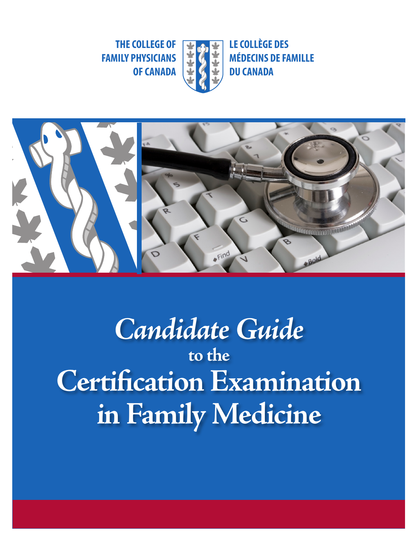**THE COLLEGE OF FAMILY PHYSICIANS**



**LE COLLÈGE DES MÉDECINS DE FAMILLE DU CANADA COLLEGE OF WATER LE COLLÈGE DES<br>PHYSICIANS WEDECINS DE FAMILLE<br>OF CANADA** 



*Candidate Guide* **to the Certification Examination in Family Medicine**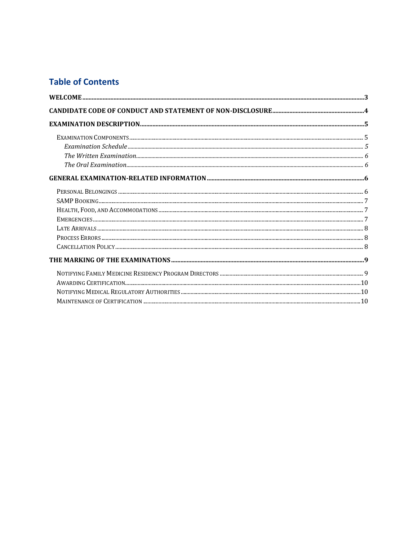# **Table of Contents**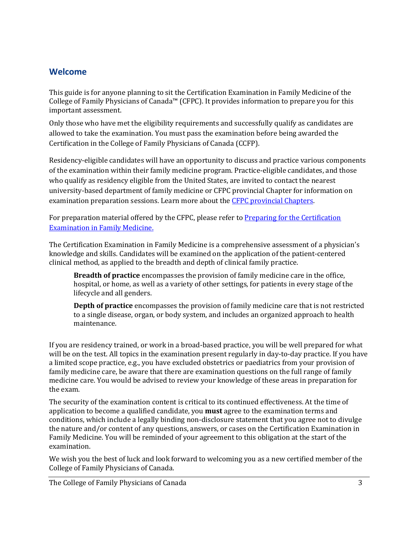## <span id="page-2-0"></span>**Welcome**

This guide is for anyone planning to sit the Certification Examination in Family Medicine of the College of Family Physicians of Canada™ (CFPC). It provides information to prepare you for this important assessment.

Only those who have met the eligibility requirements and successfully qualify as candidates are allowed to take the examination. You must pass the examination before being awarded the Certification in the College of Family Physicians of Canada (CCFP).

Residency-eligible candidates will have an opportunity to discuss and practice various components of the examination within their family medicine program. Practice-eligible candidates, and those who qualify as residency eligible from the United States, are invited to contact the nearest university-based department of family medicine or CFPC provincial Chapter for information on examination preparation sessions. Learn more about th[e CFPC provincial Chapters.](https://www.cfpc.ca/en/about-us/provincial-chapters)

For preparation material offered by the CFPC, please refer to Preparing for the Certification [Examination in Family Medicine.](https://www.cfpc.ca/en/education-professional-development/examinations-and-certification/certification-examination-in-family-medicine/preparing-for-the-certification-examination-in-fam)

The Certification Examination in Family Medicine is a comprehensive assessment of a physician's knowledge and skills. Candidates will be examined on the application of the patient-centered clinical method, as applied to the breadth and depth of clinical family practice.

**Breadth of practice** encompasses the provision of family medicine care in the office, hospital, or home, as well as a variety of other settings, for patients in every stage of the lifecycle and all genders.

**Depth of practice** encompasses the provision of family medicine care that is not restricted to a single disease, organ, or body system, and includes an organized approach to health maintenance.

If you are residency trained, or work in a broad-based practice, you will be well prepared for what will be on the test. All topics in the examination present regularly in day-to-day practice. If you have a limited scope practice, e.g., you have excluded obstetrics or paediatrics from your provision of family medicine care, be aware that there are examination questions on the full range of family medicine care. You would be advised to review your knowledge of these areas in preparation for the exam.

The security of the examination content is critical to its continued effectiveness. At the time of application to become a qualified candidate, you **must** agree to the examination terms and conditions, which include a legally binding non-disclosure statement that you agree not to divulge the nature and/or content of any questions, answers, or cases on the Certification Examination in Family Medicine. You will be reminded of your agreement to this obligation at the start of the examination.

We wish you the best of luck and look forward to welcoming you as a new certified member of the College of Family Physicians of Canada.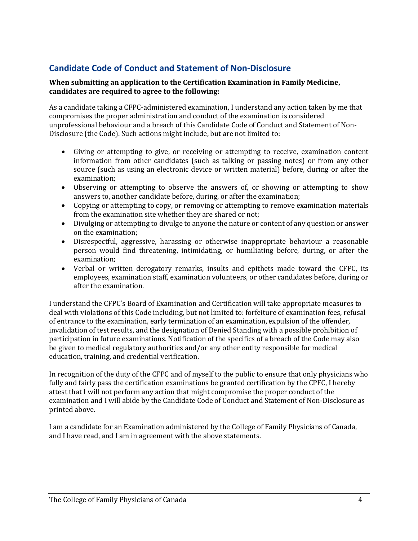# <span id="page-3-0"></span>**Candidate Code of Conduct and Statement of Non-Disclosure**

#### **When submitting an application to the Certification Examination in Family Medicine, candidates are required to agree to the following:**

As a candidate taking a CFPC-administered examination, I understand any action taken by me that compromises the proper administration and conduct of the examination is considered unprofessional behaviour and a breach of this Candidate Code of Conduct and Statement of Non-Disclosure (the Code). Such actions might include, but are not limited to:

- Giving or attempting to give, or receiving or attempting to receive, examination content information from other candidates (such as talking or passing notes) or from any other source (such as using an electronic device or written material) before, during or after the examination;
- Observing or attempting to observe the answers of, or showing or attempting to show answers to, another candidate before, during, or after the examination;
- Copying or attempting to copy, or removing or attempting to remove examination materials from the examination site whether they are shared or not;
- Divulging or attempting to divulge to anyone the nature or content of any question or answer on the examination;
- Disrespectful, aggressive, harassing or otherwise inappropriate behaviour a reasonable person would find threatening, intimidating, or humiliating before, during, or after the examination;
- Verbal or written derogatory remarks, insults and epithets made toward the CFPC, its employees, examination staff, examination volunteers, or other candidates before, during or after the examination.

I understand the CFPC's Board of Examination and Certification will take appropriate measures to deal with violations of this Code including, but not limited to: forfeiture of examination fees, refusal of entrance to the examination, early termination of an examination, expulsion of the offender, invalidation of test results, and the designation of Denied Standing with a possible prohibition of participation in future examinations. Notification of the specifics of a breach of the Code may also be given to medical regulatory authorities and/or any other entity responsible for medical education, training, and credential verification.

In recognition of the duty of the CFPC and of myself to the public to ensure that only physicians who fully and fairly pass the certification examinations be granted certification by the CPFC, I hereby attest that I will not perform any action that might compromise the proper conduct of the examination and I will abide by the Candidate Code of Conduct and Statement of Non-Disclosure as printed above.

I am a candidate for an Examination administered by the College of Family Physicians of Canada, and I have read, and I am in agreement with the above statements.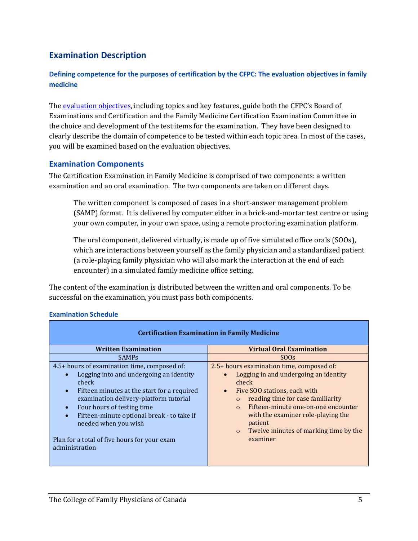# <span id="page-4-0"></span>**Examination Description**

#### **Defining competence for the purposes of certification by the CFPC: The evaluation objectives in family medicine**

Th[e evaluation objectives,](https://www.cfpc.ca/en/education-professional-development/educational-frameworks-and-reference-guides/evaluation-objectives-in-family-medicine) including topics and key features, guide both the CFPC's Board of Examinations and Certification and the Family Medicine Certification Examination Committee in the choice and development of the test items for the examination. They have been designed to clearly describe the domain of competence to be tested within each topic area. In most of the cases, you will be examined based on the evaluation objectives.

#### <span id="page-4-1"></span>**Examination Components**

The Certification Examination in Family Medicine is comprised of two components: a written examination and an oral examination. The two components are taken on different days.

The written component is composed of cases in a short-answer management problem (SAMP) format. It is delivered by computer either in a brick-and-mortar test centre or using your own computer, in your own space, using a remote proctoring examination platform.

The oral component, delivered virtually, is made up of five simulated office orals (SOOs), which are interactions between yourself as the family physician and a standardized patient (a role-playing family physician who will also mark the interaction at the end of each encounter) in a simulated family medicine office setting.

The content of the examination is distributed between the written and oral components. To be successful on the examination, you must pass both components.

| <b>Certification Examination in Family Medicine</b>                                                                                                                                                                                                                                                                                                                          |                                                                                                                                                                                                                                                                                                                                                 |  |
|------------------------------------------------------------------------------------------------------------------------------------------------------------------------------------------------------------------------------------------------------------------------------------------------------------------------------------------------------------------------------|-------------------------------------------------------------------------------------------------------------------------------------------------------------------------------------------------------------------------------------------------------------------------------------------------------------------------------------------------|--|
| <b>Written Examination</b>                                                                                                                                                                                                                                                                                                                                                   | <b>Virtual Oral Examination</b>                                                                                                                                                                                                                                                                                                                 |  |
| <b>SAMP<sub>S</sub></b>                                                                                                                                                                                                                                                                                                                                                      | SO <sub>Os</sub>                                                                                                                                                                                                                                                                                                                                |  |
| 4.5+ hours of examination time, composed of:<br>Logging into and undergoing an identity<br>check<br>Fifteen minutes at the start for a required<br>$\bullet$<br>examination delivery-platform tutorial<br>Four hours of testing time<br>Fifteen-minute optional break - to take if<br>needed when you wish<br>Plan for a total of five hours for your exam<br>administration | 2.5+ hours examination time, composed of:<br>Logging in and undergoing an identity<br>check<br>Five SOO stations, each with<br>reading time for case familiarity<br>$\circ$<br>Fifteen-minute one-on-one encounter<br>$\Omega$<br>with the examiner role-playing the<br>patient<br>Twelve minutes of marking time by the<br>$\circ$<br>examiner |  |

#### <span id="page-4-2"></span>**Examination Schedule**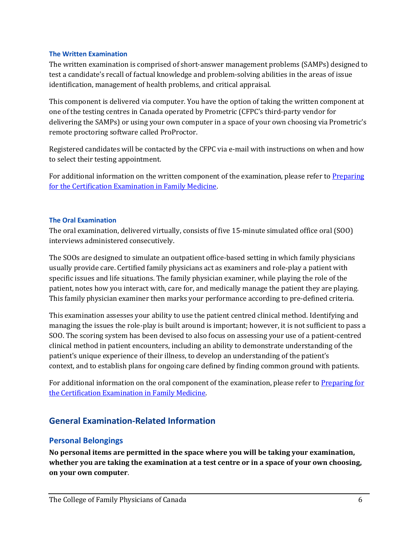#### <span id="page-5-0"></span>**The Written Examination**

The written examination is comprised of short-answer management problems (SAMPs) designed to test a candidate's recall of factual knowledge and problem-solving abilities in the areas of issue identification, management of health problems, and critical appraisal.

This component is delivered via computer. You have the option of taking the written component at one of the testing centres in Canada operated by Prometric (CFPC's third-party vendor for delivering the SAMPs) or using your own computer in a space of your own choosing via Prometric's remote proctoring software called ProProctor.

Registered candidates will be contacted by the CFPC via e-mail with instructions on when and how to select their testing appointment.

For additional information on the written component of the examination, please refer to Preparing [for the Certification Examination in Family Medicine.](https://www.cfpc.ca/en/education-professional-development/examinations-and-certification/certification-examination-in-family-medicine/preparing-for-the-certification-examination-in-fam)

#### <span id="page-5-1"></span>**The Oral Examination**

The oral examination, delivered virtually, consists of five 15-minute simulated office oral (SOO) interviews administered consecutively.

The SOOs are designed to simulate an outpatient office-based setting in which family physicians usually provide care. Certified family physicians act as examiners and role-play a patient with specific issues and life situations. The family physician examiner, while playing the role of the patient, notes how you interact with, care for, and medically manage the patient they are playing. This family physician examiner then marks your performance according to pre-defined criteria.

This examination assesses your ability to use the patient centred clinical method. Identifying and managing the issues the role-play is built around is important; however, it is not sufficient to pass a SOO. The scoring system has been devised to also focus on assessing your use of a patient-centred clinical method in patient encounters, including an ability to demonstrate understanding of the patient's unique experience of their illness, to develop an understanding of the patient's context, and to establish plans for ongoing care defined by finding common ground with patients.

For additional information on the oral component of the examination, please refer to Preparing for [the Certification Examination in Family Medicine.](https://www.cfpc.ca/en/education-professional-development/examinations-and-certification/certification-examination-in-family-medicine/preparing-for-the-certification-examination-in-fam/samps-frequently-asked-questions)

### <span id="page-5-2"></span>**General Examination-Related Information**

#### <span id="page-5-3"></span>**Personal Belongings**

**No personal items are permitted in the space where you will be taking your examination, whether you are taking the examination at a test centre or in a space of your own choosing, on your own computer**.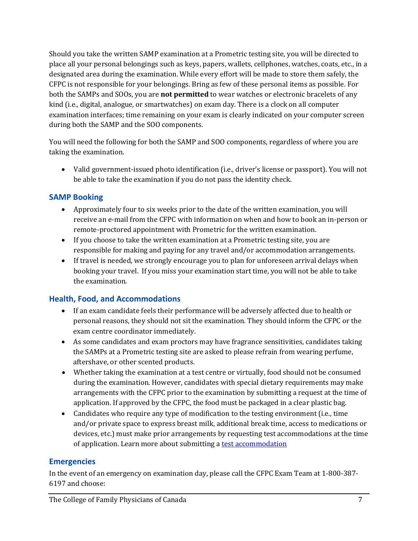Should you take the written SAMP examination at a Prometric testing site, you will be directed to place all your personal belongings such as keys, papers, wallets, cellphones, watches, coats, etc., in a designated area during the examination. While every effort will be made to store them safely, the CFPC is not responsible for your belongings. Bring as few of these personal items as possible. For both the SAMPs and SOOs, you are **not permitted** to wear watches or electronic bracelets of any kind (i.e., digital, analogue, or smartwatches) on exam day. There is a clock on all computer examination interfaces; time remaining on your exam is clearly indicated on your computer screen during both the SAMP and the SOO components.

You will need the following for both the SAMP and SOO components, regardless of where you are taking the examination.

• Valid government-issued photo identification (i.e., driver's license or passport). You will not be able to take the examination if you do not pass the identity check.

## <span id="page-6-0"></span>**SAMP Booking**

- Approximately four to six weeks prior to the date of the written examination, you will receive an e-mail from the CFPC with information on when and how to book an in-person or remote-proctored appointment with Prometric for the written examination.
- If you choose to take the written examination at a Prometric testing site, you are responsible for making and paying for any travel and/or accommodation arrangements.
- If travel is needed, we strongly encourage you to plan for unforeseen arrival delays when booking your travel. If you miss your examination start time, you will not be able to take the examination.

# <span id="page-6-1"></span>**Health, Food, and Accommodations**

- If an exam candidate feels their performance will be adversely affected due to health or personal reasons, they should not sit the examination. They should inform the CFPC or the exam centre coordinator immediately.
- As some candidates and exam proctors may have fragrance sensitivities, candidates taking the SAMPs at a Prometric testing site are asked to please refrain from wearing perfume, aftershave, or other scented products.
- Whether taking the examination at a test centre or virtually, food should not be consumed during the examination. However, candidates with special dietary requirements may make arrangements with the CFPC prior to the examination by submitting a request at the time of application. If approved by the CFPC, the food must be packaged in a clear plastic bag.
- Candidates who require any type of modification to the testing environment (i.e., time and/or private space to express breast milk, additional break time, access to medications or devices, etc.) must make prior arrangements by requesting test accommodations at the time of application. Learn more about submitting [a test accommodation](https://www.cfpc.ca/en/education-professional-development/examinations-and-certification/certification-examination-in-family-medicine#more-info)

# <span id="page-6-2"></span>**Emergencies**

In the event of an emergency on examination day, please call the CFPC Exam Team at 1-800-387- 6197 and choose: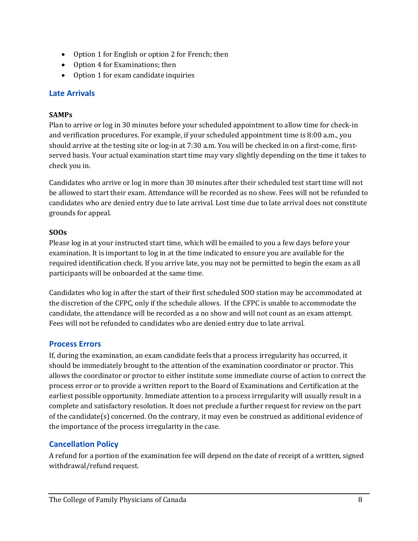- Option 1 for English or option 2 for French; then
- Option 4 for Examinations; then
- Option 1 for exam candidate inquiries

### <span id="page-7-0"></span>**Late Arrivals**

#### **SAMPs**

Plan to arrive or log in 30 minutes before your scheduled appointment to allow time for check-in and verification procedures. For example, if your scheduled appointment time is 8:00 a.m., you should arrive at the testing site or log-in at 7:30 a.m. You will be checked in on a first-come, firstserved basis. Your actual examination start time may vary slightly depending on the time it takes to check you in.

Candidates who arrive or log in more than 30 minutes after their scheduled test start time will not be allowed to start their exam. Attendance will be recorded as no show. Fees will not be refunded to candidates who are denied entry due to late arrival. Lost time due to late arrival does not constitute grounds for appeal.

### **SOOs**

Please log in at your instructed start time, which will be emailed to you a few days before your examination. It is important to log in at the time indicated to ensure you are available for the required identification check. If you arrive late, you may not be permitted to begin the exam as all participants will be onboarded at the same time.

Candidates who log in after the start of their first scheduled SOO station may be accommodated at the discretion of the CFPC, only if the schedule allows. If the CFPC is unable to accommodate the candidate, the attendance will be recorded as a no show and will not count as an exam attempt. Fees will not be refunded to candidates who are denied entry due to late arrival.

### <span id="page-7-1"></span>**Process Errors**

If, during the examination, an exam candidate feels that a process irregularity has occurred, it should be immediately brought to the attention of the examination coordinator or proctor. This allows the coordinator or proctor to either institute some immediate course of action to correct the process error or to provide a written report to the Board of Examinations and Certification at the earliest possible opportunity. Immediate attention to a process irregularity will usually result in a complete and satisfactory resolution. It does not preclude a further request for review on the part of the candidate(s) concerned. On the contrary, it may even be construed as additional evidence of the importance of the process irregularity in the case.

# <span id="page-7-2"></span>**Cancellation Policy**

A refund for a portion of the examination fee will depend on the date of receipt of a written, signed withdrawal/refund request.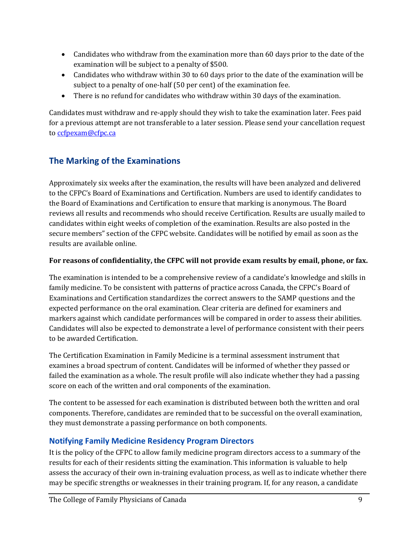- Candidates who withdraw from the examination more than 60 days prior to the date of the examination will be subject to a penalty of \$500.
- Candidates who withdraw within 30 to 60 days prior to the date of the examination will be subject to a penalty of one-half (50 per cent) of the examination fee.
- There is no refund for candidates who withdraw within 30 days of the examination.

Candidates must withdraw and re-apply should they wish to take the examination later. Fees paid for a previous attempt are not transferable to a later session. Please send your cancellation request to [ccfpexam@cfpc.ca](mailto:ccfpexam@cfpc.ca?subject=Cancellation%20request)

# <span id="page-8-0"></span>**The Marking of the Examinations**

Approximately six weeks after the examination, the results will have been analyzed and delivered to the CFPC's Board of Examinations and Certification. Numbers are used to identify candidates to the Board of Examinations and Certification to ensure that marking is anonymous. The Board reviews all results and recommends who should receive Certification. Results are usually mailed to candidates within eight weeks of completion of the examination. Results are also posted in the secure members" section of the CFPC website. Candidates will be notified by email as soon as the results are available online.

# **For reasons of confidentiality, the CFPC will not provide exam results by email, phone, or fax.**

The examination is intended to be a comprehensive review of a candidate's knowledge and skills in family medicine. To be consistent with patterns of practice across Canada, the CFPC's Board of Examinations and Certification standardizes the correct answers to the SAMP questions and the expected performance on the oral examination. Clear criteria are defined for examiners and markers against which candidate performances will be compared in order to assess their abilities. Candidates will also be expected to demonstrate a level of performance consistent with their peers to be awarded Certification.

The Certification Examination in Family Medicine is a terminal assessment instrument that examines a broad spectrum of content. Candidates will be informed of whether they passed or failed the examination as a whole. The result profile will also indicate whether they had a passing score on each of the written and oral components of the examination.

The content to be assessed for each examination is distributed between both the written and oral components. Therefore, candidates are reminded that to be successful on the overall examination, they must demonstrate a passing performance on both components.

# <span id="page-8-1"></span>**Notifying Family Medicine Residency Program Directors**

It is the policy of the CFPC to allow family medicine program directors access to a summary of the results for each of their residents sitting the examination. This information is valuable to help assess the accuracy of their own in-training evaluation process, as well as to indicate whether there may be specific strengths or weaknesses in their training program. If, for any reason, a candidate